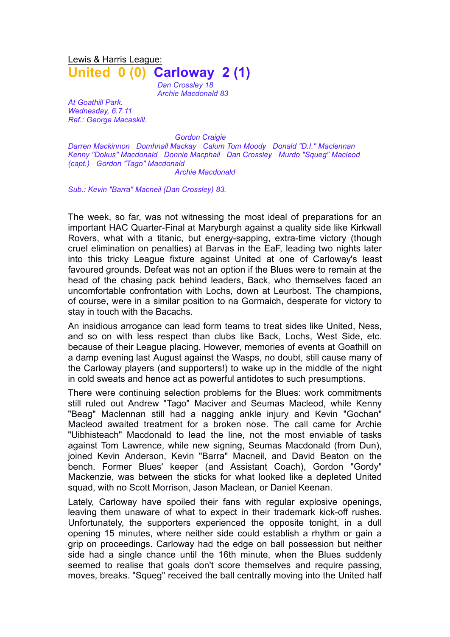Lewis & Harris League: **United 0 (0) Carloway 2 (1)**

> *Dan Crossley 18 Archie Macdonald 83*

*At Goathill Park. Wednesday, 6.7.11 Ref.: George Macaskill.*

*Gordon Craigie*

*Darren Mackinnon Domhnall Mackay Calum Tom Moody Donald "D.I." Maclennan Kenny "Dokus" Macdonald Donnie Macphail Dan Crossley Murdo "Squeg" Macleod (capt.) Gordon "Tago" Macdonald Archie Macdonald*

*Sub.: Kevin "Barra" Macneil (Dan Crossley) 83.*

The week, so far, was not witnessing the most ideal of preparations for an important HAC Quarter-Final at Maryburgh against a quality side like Kirkwall Rovers, what with a titanic, but energy-sapping, extra-time victory (though cruel elimination on penalties) at Barvas in the EaF, leading two nights later into this tricky League fixture against United at one of Carloway's least favoured grounds. Defeat was not an option if the Blues were to remain at the head of the chasing pack behind leaders, Back, who themselves faced an uncomfortable confrontation with Lochs, down at Leurbost. The champions, of course, were in a similar position to na Gormaich, desperate for victory to stay in touch with the Bacachs.

An insidious arrogance can lead form teams to treat sides like United, Ness, and so on with less respect than clubs like Back, Lochs, West Side, etc. because of their League placing. However, memories of events at Goathill on a damp evening last August against the Wasps, no doubt, still cause many of the Carloway players (and supporters!) to wake up in the middle of the night in cold sweats and hence act as powerful antidotes to such presumptions.

There were continuing selection problems for the Blues: work commitments still ruled out Andrew "Tago" Maciver and Seumas Macleod, while Kenny "Beag" Maclennan still had a nagging ankle injury and Kevin "Gochan" Macleod awaited treatment for a broken nose. The call came for Archie "Uibhisteach" Macdonald to lead the line, not the most enviable of tasks against Tom Lawrence, while new signing, Seumas Macdonald (from Dun), joined Kevin Anderson, Kevin "Barra" Macneil, and David Beaton on the bench. Former Blues' keeper (and Assistant Coach), Gordon "Gordy" Mackenzie, was between the sticks for what looked like a depleted United squad, with no Scott Morrison, Jason Maclean, or Daniel Keenan.

Lately, Carloway have spoiled their fans with regular explosive openings, leaving them unaware of what to expect in their trademark kick-off rushes. Unfortunately, the supporters experienced the opposite tonight, in a dull opening 15 minutes, where neither side could establish a rhythm or gain a grip on proceedings. Carloway had the edge on ball possession but neither side had a single chance until the 16th minute, when the Blues suddenly seemed to realise that goals don't score themselves and require passing, moves, breaks. "Squeg" received the ball centrally moving into the United half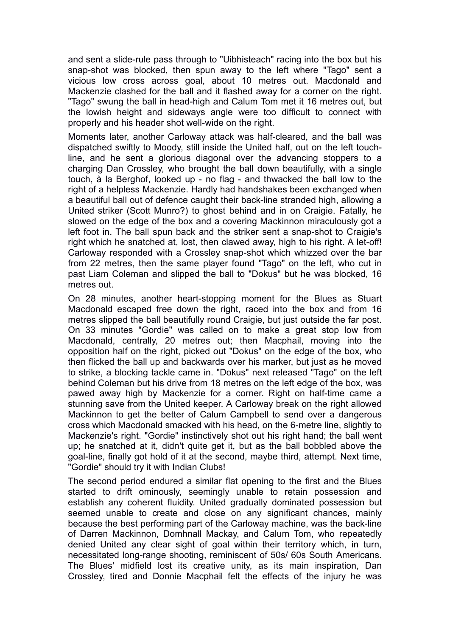and sent a slide-rule pass through to "Uibhisteach" racing into the box but his snap-shot was blocked, then spun away to the left where "Tago" sent a vicious low cross across goal, about 10 metres out. Macdonald and Mackenzie clashed for the ball and it flashed away for a corner on the right. "Tago" swung the ball in head-high and Calum Tom met it 16 metres out, but the lowish height and sideways angle were too difficult to connect with properly and his header shot well-wide on the right.

Moments later, another Carloway attack was half-cleared, and the ball was dispatched swiftly to Moody, still inside the United half, out on the left touchline, and he sent a glorious diagonal over the advancing stoppers to a charging Dan Crossley, who brought the ball down beautifully, with a single touch, à la Berghof, looked up - no flag - and thwacked the ball low to the right of a helpless Mackenzie. Hardly had handshakes been exchanged when a beautiful ball out of defence caught their back-line stranded high, allowing a United striker (Scott Munro?) to ghost behind and in on Craigie. Fatally, he slowed on the edge of the box and a covering Mackinnon miraculously got a left foot in. The ball spun back and the striker sent a snap-shot to Craigie's right which he snatched at, lost, then clawed away, high to his right. A let-off! Carloway responded with a Crossley snap-shot which whizzed over the bar from 22 metres, then the same player found "Tago" on the left, who cut in past Liam Coleman and slipped the ball to "Dokus" but he was blocked, 16 metres out.

On 28 minutes, another heart-stopping moment for the Blues as Stuart Macdonald escaped free down the right, raced into the box and from 16 metres slipped the ball beautifully round Craigie, but just outside the far post. On 33 minutes "Gordie" was called on to make a great stop low from Macdonald, centrally, 20 metres out; then Macphail, moving into the opposition half on the right, picked out "Dokus" on the edge of the box, who then flicked the ball up and backwards over his marker, but just as he moved to strike, a blocking tackle came in. "Dokus" next released "Tago" on the left behind Coleman but his drive from 18 metres on the left edge of the box, was pawed away high by Mackenzie for a corner. Right on half-time came a stunning save from the United keeper. A Carloway break on the right allowed Mackinnon to get the better of Calum Campbell to send over a dangerous cross which Macdonald smacked with his head, on the 6-metre line, slightly to Mackenzie's right. "Gordie" instinctively shot out his right hand; the ball went up; he snatched at it, didn't quite get it, but as the ball bobbled above the goal-line, finally got hold of it at the second, maybe third, attempt. Next time, "Gordie" should try it with Indian Clubs!

The second period endured a similar flat opening to the first and the Blues started to drift ominously, seemingly unable to retain possession and establish any coherent fluidity. United gradually dominated possession but seemed unable to create and close on any significant chances, mainly because the best performing part of the Carloway machine, was the back-line of Darren Mackinnon, Domhnall Mackay, and Calum Tom, who repeatedly denied United any clear sight of goal within their territory which, in turn, necessitated long-range shooting, reminiscent of 50s/ 60s South Americans. The Blues' midfield lost its creative unity, as its main inspiration, Dan Crossley, tired and Donnie Macphail felt the effects of the injury he was